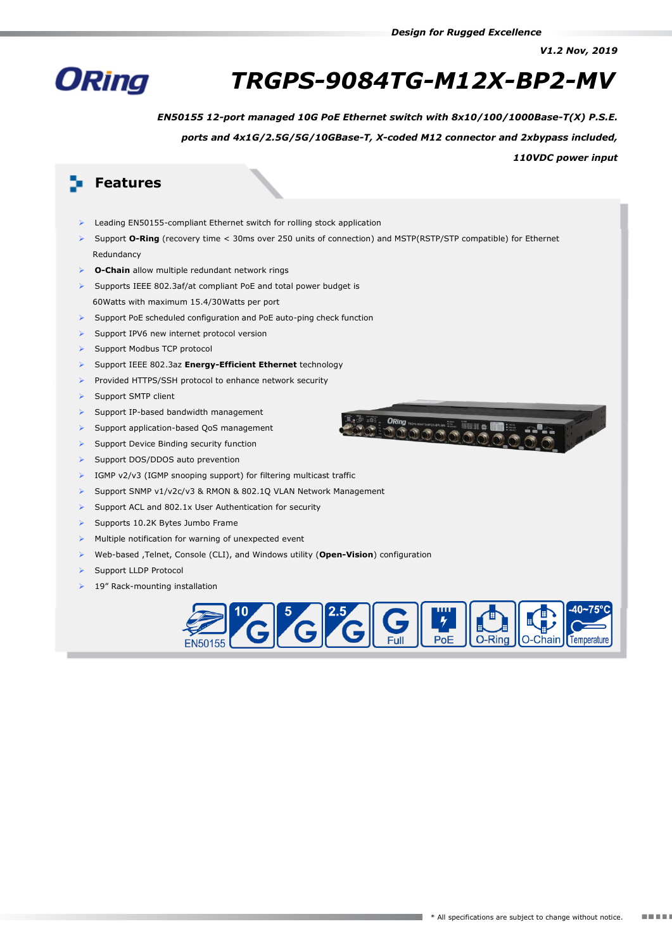*V1.2 Nov, 2019*



# *TRGPS-9084TG-M12X-BP2-MV*

*EN50155 12-port managed 10G PoE Ethernet switch with 8x10/100/1000Base-T(X) P.S.E.*

*ports and 4x1G/2.5G/5G/10GBase-T, X-coded M12 connector and 2xbypass included,*

#### *110VDC power input*

## **Features**

- Leading EN50155-compliant Ethernet switch for rolling stock application
- Support **O-Ring** (recovery time < 30ms over 250 units of connection) and MSTP(RSTP/STP compatible) for Ethernet Redundancy
- **O-Chain** allow multiple redundant network rings
- Supports IEEE 802.3af/at compliant PoE and total power budget is 60Watts with maximum 15.4/30Watts per port
- $\triangleright$  Support PoE scheduled configuration and PoE auto-ping check function
- Support IPV6 new internet protocol version
- > Support Modbus TCP protocol
- Support IEEE 802.3az **Energy-Efficient Ethernet** technology
- Provided HTTPS/SSH protocol to enhance network security
- $\triangleright$  Support SMTP client
- Support IP-based bandwidth management
- Support application-based QoS management
- Support Device Binding security function
- Support DOS/DDOS auto prevention
- $\triangleright$  IGMP v2/v3 (IGMP snooping support) for filtering multicast traffic
- Support SNMP v1/v2c/v3 & RMON & 802.1Q VLAN Network Management
- Support ACL and 802.1x User Authentication for security
- $\triangleright$  Supports 10.2K Bytes Jumbo Frame
- Multiple notification for warning of unexpected event
- Web-based ,Telnet, Console (CLI), and Windows utility (**Open-Vision**) configuration
- Support LLDP Protocol
- 19" Rack-mounting installation



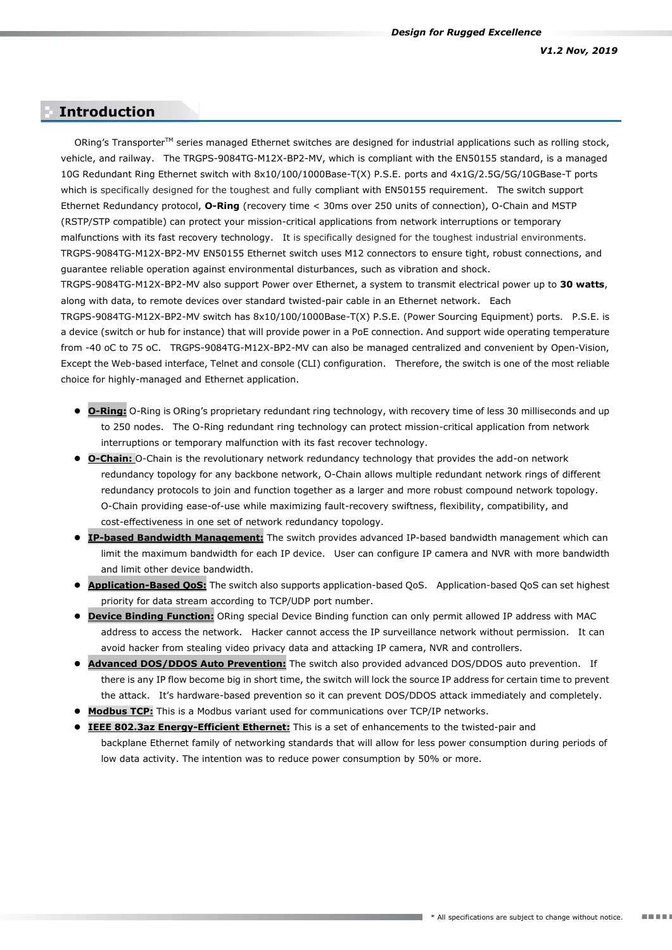#### **Introduction Introduction**

ORing's TransporterTM series managed Ethernet switches are designed for industrial applications such as rolling stock, vehicle, and railway. The TRGPS-9084TG-M12X-BP2-MV, which is compliant with the EN50155 standard, is a managed 10G Redundant Ring Ethernet switch with 8x10/100/1000Base-T(X) P.S.E. ports and 4x1G/2.5G/5G/10GBase-T ports which is specifically designed for the toughest and fully compliant with EN50155 requirement. The switch support Ethernet Redundancy protocol, **O-Ring** (recovery time < 30ms over 250 units of connection), O-Chain and MSTP (RSTP/STP compatible) can protect your mission-critical applications from network interruptions or temporary malfunctions with its fast recovery technology. It is specifically designed for the toughest industrial environments. TRGPS-9084TG-M12X-BP2-MV EN50155 Ethernet switch uses M12 connectors to ensure tight, robust connections, and guarantee reliable operation against environmental disturbances, such as vibration and shock. TRGPS-9084TG-M12X-BP2-MV also support Power over Ethernet, a system to transmit electrical power up to **30 watts**, along with data, to remote devices over standard [twisted-pair](http://en.wikipedia.org/wiki/Twisted-pair) cable in an [Ethernet](http://en.wikipedia.org/wiki/Ethernet) network. Each

TRGPS-9084TG-M12X-BP2-MV switch has 8x10/100/1000Base-T(X) P.S.E. (Power Sourcing Equipment) ports. P.S.E. is a device [\(switch](http://en.wikipedia.org/wiki/Network_Switch) or [hub](http://en.wikipedia.org/wiki/Network_hub) for instance) that will provide power in a PoE connection. And support wide operating temperature from -40 oC to 75 oC. TRGPS-9084TG-M12X-BP2-MV can also be managed centralized and convenient by Open-Vision, Except the Web-based interface, Telnet and console (CLI) configuration. Therefore, the switch is one of the most reliable choice for highly-managed and Ethernet application.

- **O-Ring:** O-Ring is ORing's proprietary redundant ring technology, with recovery time of less 30 milliseconds and up to 250 nodes. The O-Ring redundant ring technology can protect mission-critical application from network interruptions or temporary malfunction with its fast recover technology.
- **O-Chain:** O-Chain is the revolutionary network redundancy technology that provides the add-on network redundancy topology for any backbone network, O-Chain allows multiple redundant network rings of different redundancy protocols to join and function together as a larger and more robust compound network topology. O-Chain providing ease-of-use while maximizing fault-recovery swiftness, flexibility, compatibility, and cost-effectiveness in one set of network redundancy topology.
- **IP-based Bandwidth Management:** The switch provides advanced IP-based bandwidth management which can limit the maximum bandwidth for each IP device. User can configure IP camera and NVR with more bandwidth and limit other device bandwidth.
- **Application-Based QoS:** The switch also supports application-based QoS. Application-based QoS can set highest priority for data stream according to TCP/UDP port number.
- **Device Binding Function:** ORing special Device Binding function can only permit allowed IP address with MAC address to access the network. Hacker cannot access the IP surveillance network without permission. It can avoid hacker from stealing video privacy data and attacking IP camera, NVR and controllers.
- **Advanced DOS/DDOS Auto Prevention:** The switch also provided advanced DOS/DDOS auto prevention. If there is any IP flow become big in short time, the switch will lock the source IP address for certain time to prevent the attack. It's hardware-based prevention so it can prevent DOS/DDOS attack immediately and completely.
- **Modbus TCP:** This is a Modbus variant used for communications over TCP/IP networks.
- **IEEE 802.3az Energy-Efficient Ethernet:** This is a set of enhancements to the twisted-pair and backplane Ethernet family of networking standards that will allow for less power consumption during periods of low data activity. The intention was to reduce power consumption by 50% or more.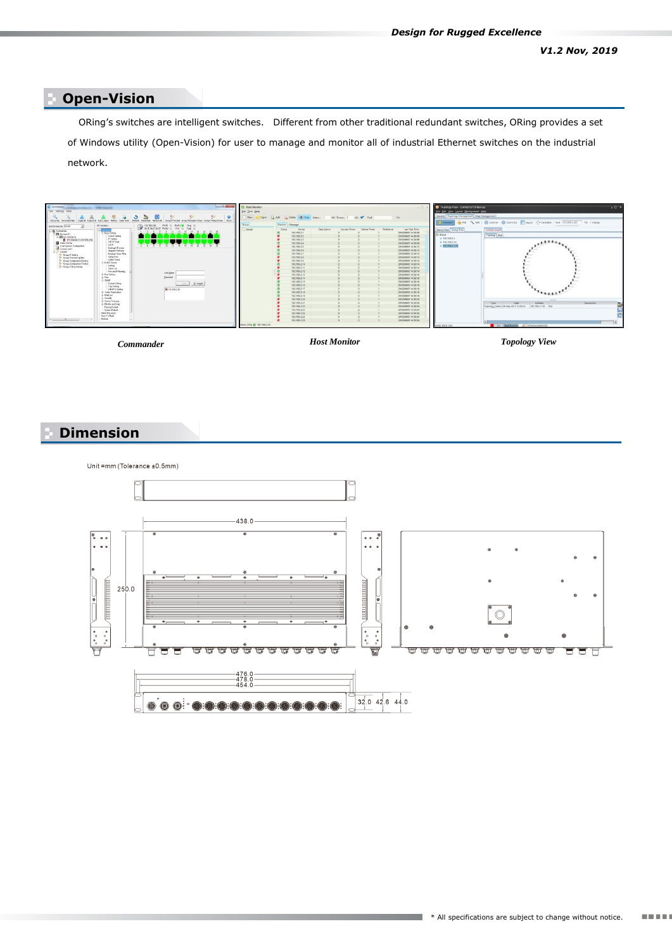## **Open-Vision**

ORing's switches are intelligent switches. Different from other traditional redundant switches, ORing provides a set **Specifications** of Windows utility (Open-Vision) for user to manage and monitor all of industrial Ethernet switches on the industrial network.



*Commander Host Monitor Topology View*

## **Dimension**



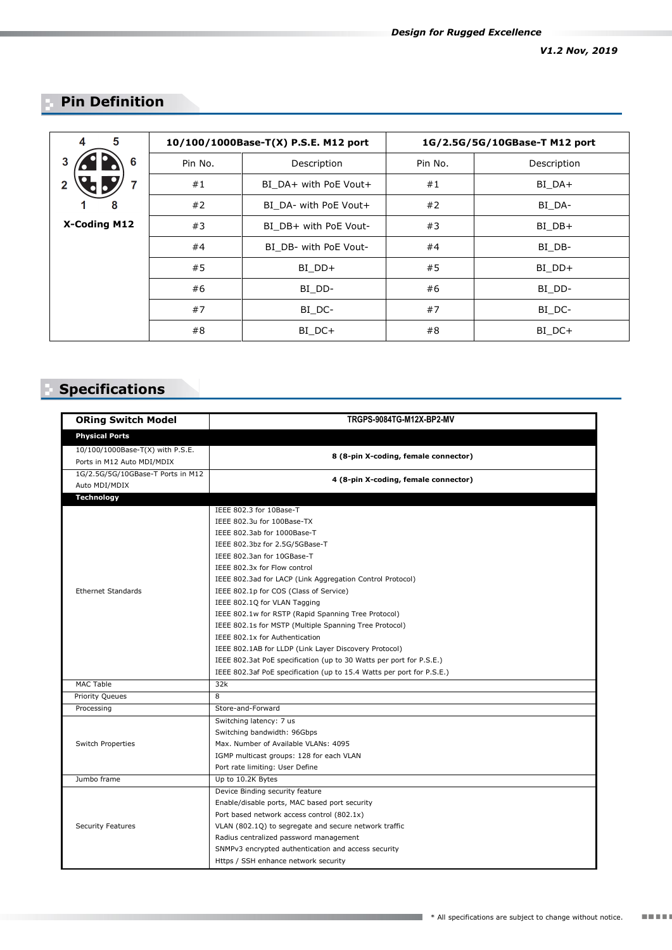## **Pin Definition**

| 5<br>4       | 10/100/1000Base-T(X) P.S.E. M12 port |                       | 1G/2.5G/5G/10GBase-T M12 port |             |
|--------------|--------------------------------------|-----------------------|-------------------------------|-------------|
| 6            | Pin No.                              | Description           | Pin No.                       | Description |
|              | #1                                   | BI_DA+ with PoE Vout+ | #1                            | BI DA+      |
| 8            | #2                                   | BI DA- with PoE Vout+ | #2                            | BI DA-      |
| X-Coding M12 | #3                                   | BI DB+ with PoE Vout- | #3                            | BI DB+      |
|              | #4                                   | BI DB- with PoE Vout- | #4                            | BI DB-      |
|              | #5                                   | BI DD+                | #5                            | BI DD+      |
|              | #6                                   | BI DD-                | #6                            | BI DD-      |
|              | #7                                   | BI DC-                | #7                            | BI DC-      |
|              | #8                                   | BI DC+                | #8                            | BI DC+      |

# **Specifications**

| <b>ORing Switch Model</b>                                      | TRGPS-9084TG-M12X-BP2-MV                                              |  |  |  |
|----------------------------------------------------------------|-----------------------------------------------------------------------|--|--|--|
| <b>Physical Ports</b>                                          |                                                                       |  |  |  |
| 10/100/1000Base-T(X) with P.S.E.<br>Ports in M12 Auto MDI/MDIX | 8 (8-pin X-coding, female connector)                                  |  |  |  |
| 1G/2.5G/5G/10GBase-T Ports in M12<br>Auto MDI/MDIX             | 4 (8-pin X-coding, female connector)                                  |  |  |  |
| <b>Technology</b>                                              |                                                                       |  |  |  |
|                                                                | IEEE 802.3 for 10Base-T                                               |  |  |  |
|                                                                | IEEE 802.3u for 100Base-TX                                            |  |  |  |
|                                                                | IEEE 802.3ab for 1000Base-T                                           |  |  |  |
|                                                                | IEEE 802.3bz for 2.5G/5GBase-T                                        |  |  |  |
|                                                                | IEEE 802.3an for 10GBase-T                                            |  |  |  |
|                                                                | IEEE 802.3x for Flow control                                          |  |  |  |
|                                                                | IEEE 802.3ad for LACP (Link Aggregation Control Protocol)             |  |  |  |
| <b>Ethernet Standards</b>                                      | IEEE 802.1p for COS (Class of Service)                                |  |  |  |
|                                                                | IEEE 802.1Q for VLAN Tagging                                          |  |  |  |
|                                                                | IEEE 802.1w for RSTP (Rapid Spanning Tree Protocol)                   |  |  |  |
|                                                                | IEEE 802.1s for MSTP (Multiple Spanning Tree Protocol)                |  |  |  |
|                                                                | IEEE 802.1x for Authentication                                        |  |  |  |
|                                                                | IEEE 802.1AB for LLDP (Link Layer Discovery Protocol)                 |  |  |  |
|                                                                | IEEE 802.3at PoE specification (up to 30 Watts per port for P.S.E.)   |  |  |  |
|                                                                | IEEE 802.3af PoE specification (up to 15.4 Watts per port for P.S.E.) |  |  |  |
| <b>MAC Table</b>                                               | 32k                                                                   |  |  |  |
| <b>Priority Queues</b>                                         | $\overline{8}$                                                        |  |  |  |
| Processing                                                     | Store-and-Forward                                                     |  |  |  |
|                                                                | Switching latency: 7 us                                               |  |  |  |
|                                                                | Switching bandwidth: 96Gbps                                           |  |  |  |
| Switch Properties                                              | Max. Number of Available VLANs: 4095                                  |  |  |  |
|                                                                | IGMP multicast groups: 128 for each VLAN                              |  |  |  |
|                                                                | Port rate limiting: User Define                                       |  |  |  |
| Jumbo frame                                                    | Up to 10.2K Bytes                                                     |  |  |  |
|                                                                | Device Binding security feature                                       |  |  |  |
|                                                                | Enable/disable ports, MAC based port security                         |  |  |  |
|                                                                | Port based network access control (802.1x)                            |  |  |  |
| <b>Security Features</b>                                       | VLAN (802.1Q) to segregate and secure network traffic                 |  |  |  |
|                                                                | Radius centralized password management                                |  |  |  |
|                                                                | SNMPv3 encrypted authentication and access security                   |  |  |  |
|                                                                | Https / SSH enhance network security                                  |  |  |  |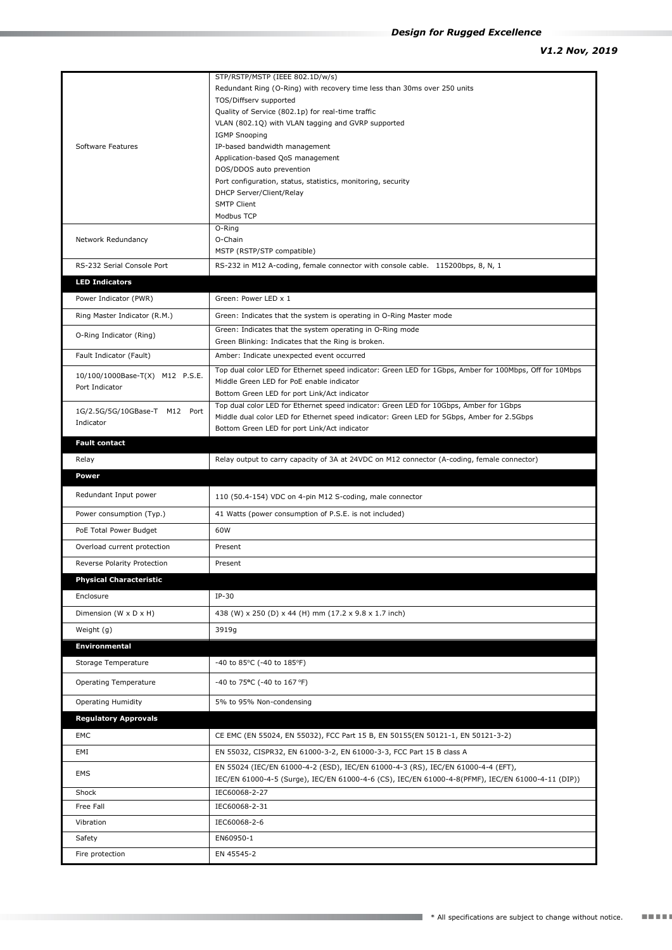|                                                   | STP/RSTP/MSTP (IEEE 802.1D/w/s)                                                                                                                        |  |  |
|---------------------------------------------------|--------------------------------------------------------------------------------------------------------------------------------------------------------|--|--|
|                                                   | Redundant Ring (O-Ring) with recovery time less than 30ms over 250 units                                                                               |  |  |
|                                                   | TOS/Diffserv supported                                                                                                                                 |  |  |
|                                                   | Quality of Service (802.1p) for real-time traffic                                                                                                      |  |  |
|                                                   | VLAN (802.1Q) with VLAN tagging and GVRP supported<br><b>IGMP Snooping</b>                                                                             |  |  |
| Software Features                                 | IP-based bandwidth management                                                                                                                          |  |  |
|                                                   | Application-based QoS management                                                                                                                       |  |  |
|                                                   | DOS/DDOS auto prevention                                                                                                                               |  |  |
|                                                   | Port configuration, status, statistics, monitoring, security                                                                                           |  |  |
|                                                   | DHCP Server/Client/Relay                                                                                                                               |  |  |
|                                                   | <b>SMTP Client</b>                                                                                                                                     |  |  |
|                                                   | Modbus TCP<br>O-Ring                                                                                                                                   |  |  |
| Network Redundancy                                | O-Chain                                                                                                                                                |  |  |
|                                                   | MSTP (RSTP/STP compatible)                                                                                                                             |  |  |
| RS-232 Serial Console Port                        | RS-232 in M12 A-coding, female connector with console cable. 115200bps, 8, N, 1                                                                        |  |  |
| <b>LED Indicators</b>                             |                                                                                                                                                        |  |  |
|                                                   |                                                                                                                                                        |  |  |
| Power Indicator (PWR)                             | Green: Power LED x 1                                                                                                                                   |  |  |
| Ring Master Indicator (R.M.)                      | Green: Indicates that the system is operating in O-Ring Master mode                                                                                    |  |  |
|                                                   | Green: Indicates that the system operating in O-Ring mode                                                                                              |  |  |
| O-Ring Indicator (Ring)                           | Green Blinking: Indicates that the Ring is broken.                                                                                                     |  |  |
| Fault Indicator (Fault)                           | Amber: Indicate unexpected event occurred                                                                                                              |  |  |
|                                                   | Top dual color LED for Ethernet speed indicator: Green LED for 1Gbps, Amber for 100Mbps, Off for 10Mbps                                                |  |  |
| 10/100/1000Base-T(X) M12 P.S.E.<br>Port Indicator | Middle Green LED for PoE enable indicator                                                                                                              |  |  |
|                                                   | Bottom Green LED for port Link/Act indicator                                                                                                           |  |  |
| 1G/2.5G/5G/10GBase-T M12 Port                     | Top dual color LED for Ethernet speed indicator: Green LED for 10Gbps, Amber for 1Gbps                                                                 |  |  |
| Indicator                                         | Middle dual color LED for Ethernet speed indicator: Green LED for 5Gbps, Amber for 2.5Gbps                                                             |  |  |
|                                                   | Bottom Green LED for port Link/Act indicator                                                                                                           |  |  |
| <b>Fault contact</b>                              |                                                                                                                                                        |  |  |
| Relay                                             | Relay output to carry capacity of 3A at 24VDC on M12 connector (A-coding, female connector)                                                            |  |  |
|                                                   |                                                                                                                                                        |  |  |
| <b>Power</b>                                      |                                                                                                                                                        |  |  |
| Redundant Input power                             | 110 (50.4-154) VDC on 4-pin M12 S-coding, male connector                                                                                               |  |  |
| Power consumption (Typ.)                          | 41 Watts (power consumption of P.S.E. is not included)                                                                                                 |  |  |
| PoE Total Power Budget                            | 60W                                                                                                                                                    |  |  |
| Overload current protection                       | Present                                                                                                                                                |  |  |
| Reverse Polarity Protection                       | Present                                                                                                                                                |  |  |
|                                                   |                                                                                                                                                        |  |  |
| <b>Physical Characteristic</b>                    |                                                                                                                                                        |  |  |
| Enclosure                                         | $IP-30$                                                                                                                                                |  |  |
| Dimension (W x D x H)                             | 438 (W) x 250 (D) x 44 (H) mm (17.2 x 9.8 x 1.7 inch)                                                                                                  |  |  |
| Weight (g)                                        | 3919g                                                                                                                                                  |  |  |
| <b>Environmental</b>                              |                                                                                                                                                        |  |  |
| Storage Temperature                               | -40 to 85 $\degree$ C (-40 to 185 $\degree$ F)                                                                                                         |  |  |
| <b>Operating Temperature</b>                      | -40 to 75°C (-40 to 167 °F)                                                                                                                            |  |  |
| <b>Operating Humidity</b>                         | 5% to 95% Non-condensing                                                                                                                               |  |  |
| <b>Regulatory Approvals</b>                       |                                                                                                                                                        |  |  |
|                                                   |                                                                                                                                                        |  |  |
| EMC<br>EMI                                        | CE EMC (EN 55024, EN 55032), FCC Part 15 B, EN 50155(EN 50121-1, EN 50121-3-2)<br>EN 55032, CISPR32, EN 61000-3-2, EN 61000-3-3, FCC Part 15 B class A |  |  |
|                                                   | EN 55024 (IEC/EN 61000-4-2 (ESD), IEC/EN 61000-4-3 (RS), IEC/EN 61000-4-4 (EFT),                                                                       |  |  |
| EMS                                               | IEC/EN 61000-4-5 (Surge), IEC/EN 61000-4-6 (CS), IEC/EN 61000-4-8 (PFMF), IEC/EN 61000-4-11 (DIP))                                                     |  |  |
| Shock                                             | IEC60068-2-27                                                                                                                                          |  |  |
| Free Fall                                         | IEC60068-2-31                                                                                                                                          |  |  |
| Vibration                                         | IEC60068-2-6                                                                                                                                           |  |  |
| Safety                                            | EN60950-1                                                                                                                                              |  |  |